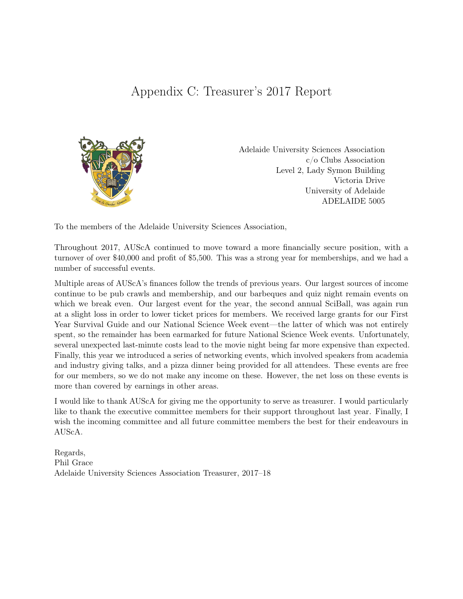## Appendix C: Treasurer's 2017 Report



Adelaide University Sciences Association c/o Clubs Association Level 2, Lady Symon Building Victoria Drive University of Adelaide ADELAIDE 5005

To the members of the Adelaide University Sciences Association,

Throughout 2017, AUScA continued to move toward a more financially secure position, with a turnover of over \$40,000 and profit of \$5,500. This was a strong year for memberships, and we had a number of successful events.

Multiple areas of AUScA's finances follow the trends of previous years. Our largest sources of income continue to be pub crawls and membership, and our barbeques and quiz night remain events on which we break even. Our largest event for the year, the second annual SciBall, was again run at a slight loss in order to lower ticket prices for members. We received large grants for our First Year Survival Guide and our National Science Week event—the latter of which was not entirely spent, so the remainder has been earmarked for future National Science Week events. Unfortunately, several unexpected last-minute costs lead to the movie night being far more expensive than expected. Finally, this year we introduced a series of networking events, which involved speakers from academia and industry giving talks, and a pizza dinner being provided for all attendees. These events are free for our members, so we do not make any income on these. However, the net loss on these events is more than covered by earnings in other areas.

I would like to thank AUScA for giving me the opportunity to serve as treasurer. I would particularly like to thank the executive committee members for their support throughout last year. Finally, I wish the incoming committee and all future committee members the best for their endeavours in AUScA.

Regards, Phil Grace Adelaide University Sciences Association Treasurer, 2017–18